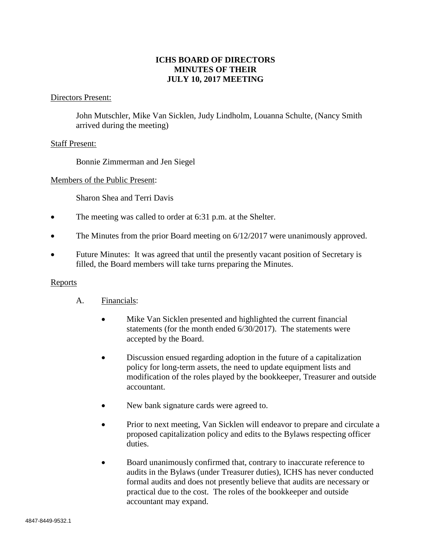# **ICHS BOARD OF DIRECTORS MINUTES OF THEIR JULY 10, 2017 MEETING**

### Directors Present:

John Mutschler, Mike Van Sicklen, Judy Lindholm, Louanna Schulte, (Nancy Smith arrived during the meeting)

### Staff Present:

Bonnie Zimmerman and Jen Siegel

#### Members of the Public Present:

Sharon Shea and Terri Davis

- The meeting was called to order at 6:31 p.m. at the Shelter.
- The Minutes from the prior Board meeting on 6/12/2017 were unanimously approved.
- Future Minutes: It was agreed that until the presently vacant position of Secretary is filled, the Board members will take turns preparing the Minutes.

#### Reports

- A. Financials:
	- Mike Van Sicklen presented and highlighted the current financial statements (for the month ended 6/30/2017). The statements were accepted by the Board.
	- Discussion ensued regarding adoption in the future of a capitalization policy for long-term assets, the need to update equipment lists and modification of the roles played by the bookkeeper, Treasurer and outside accountant.
	- New bank signature cards were agreed to.
	- Prior to next meeting, Van Sicklen will endeavor to prepare and circulate a proposed capitalization policy and edits to the Bylaws respecting officer duties.
	- Board unanimously confirmed that, contrary to inaccurate reference to audits in the Bylaws (under Treasurer duties), ICHS has never conducted formal audits and does not presently believe that audits are necessary or practical due to the cost. The roles of the bookkeeper and outside accountant may expand.